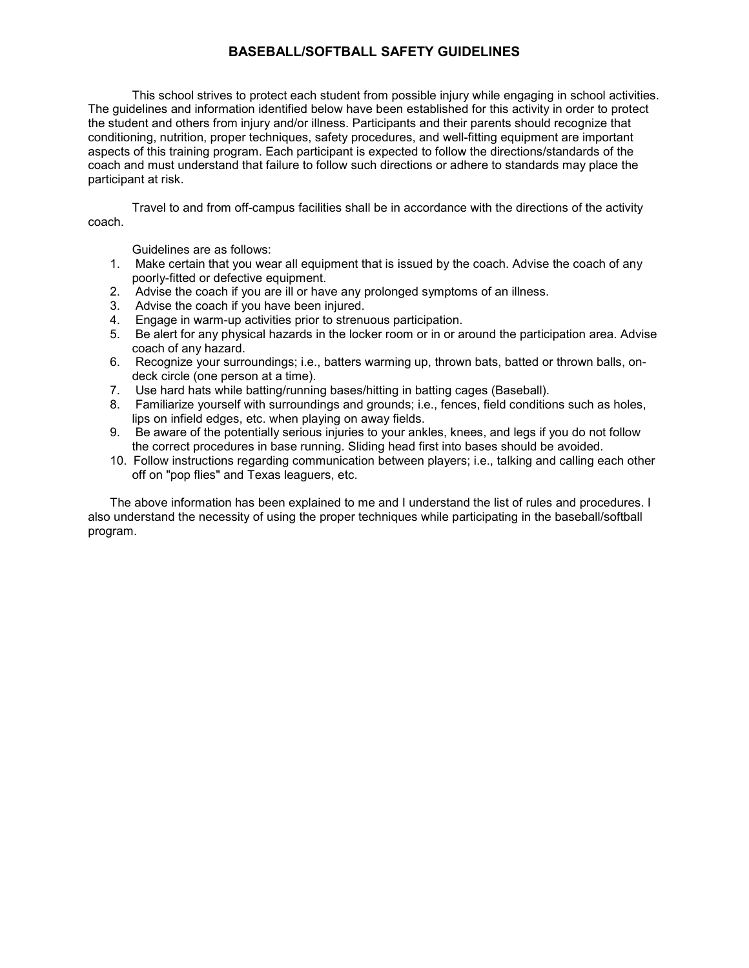## **BASEBALL/SOFTBALL SAFETY GUIDELINES**

 This school strives to protect each student from possible injury while engaging in school activities. The guidelines and information identified below have been established for this activity in order to protect coach and must understand that failure to follow such directions or adhere to standards may place the the student and others from injury and/or illness. Participants and their parents should recognize that conditioning, nutrition, proper techniques, safety procedures, and well-fitting equipment are important aspects of this training program. Each participant is expected to follow the directions/standards of the participant at risk.

Travel to and from off-campus facilities shall be in accordance with the directions of the activity coach.

Guidelines are as follows:

- 1. Make certain that you wear all equipment that is issued by the coach. Advise the coach of any poorly-fitted or defective equipment.
- 2. Advise the coach if you are ill or have any prolonged symptoms of an illness.
- 3. Advise the coach if you have been injured.
- 4. Engage in warm-up activities prior to strenuous participation.
- 5. Be alert for any physical hazards in the locker room or in or around the participation area. Advise coach of any hazard.
- 6. Recognize your surroundings; i.e., batters warming up, thrown bats, batted or thrown balls, ondeck circle (one person at a time).
- 7. Use hard hats while batting/running bases/hitting in batting cages (Baseball).
- 8. Familiarize yourself with surroundings and grounds; i.e., fences, field conditions such as holes, lips on infield edges, etc. when playing on away fields.
- 9. Be aware of the potentially serious injuries to your ankles, knees, and legs if you do not follow the correct procedures in base running. Sliding head first into bases should be avoided.
- 10. Follow instructions regarding communication between players; i.e., talking and calling each other off on "pop flies" and Texas leaguers, etc.

The above information has been explained to me and I understand the list of rules and procedures. I also understand the necessity of using the proper techniques while participating in the baseball/softball program.